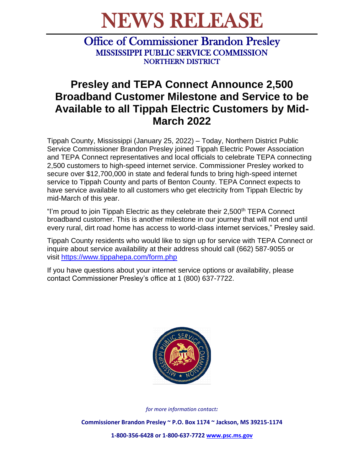## NEWS RELEASE

Office of Commissioner Brandon Presley MISSISSIPPI PUBLIC SERVICE COMMISSION NORTHERN DISTRICT

## **Presley and TEPA Connect Announce 2,500 Broadband Customer Milestone and Service to be Available to all Tippah Electric Customers by Mid-March 2022**

Tippah County, Mississippi (January 25, 2022) – Today, Northern District Public Service Commissioner Brandon Presley joined Tippah Electric Power Association and TEPA Connect representatives and local officials to celebrate TEPA connecting 2,500 customers to high-speed internet service. Commissioner Presley worked to secure over \$12,700,000 in state and federal funds to bring high-speed internet service to Tippah County and parts of Benton County. TEPA Connect expects to have service available to all customers who get electricity from Tippah Electric by mid-March of this year.

"I'm proud to join Tippah Electric as they celebrate their 2,500<sup>th</sup> TEPA Connect broadband customer. This is another milestone in our journey that will not end until every rural, dirt road home has access to world-class internet services," Presley said.

Tippah County residents who would like to sign up for service with TEPA Connect or inquire about service availability at their address should call (662) 587-9055 or visit <https://www.tippahepa.com/form.php>

If you have questions about your internet service options or availability, please contact Commissioner Presley's office at 1 (800) 637-7722.



*for more information contact:*

**Commissioner Brandon Presley ~ P.O. Box 1174 ~ Jackson, MS 39215-1174**

**1-800-356-6428 or 1-800-637-7722 [www.psc.ms.gov](http://www.psc.ms.gov/)**